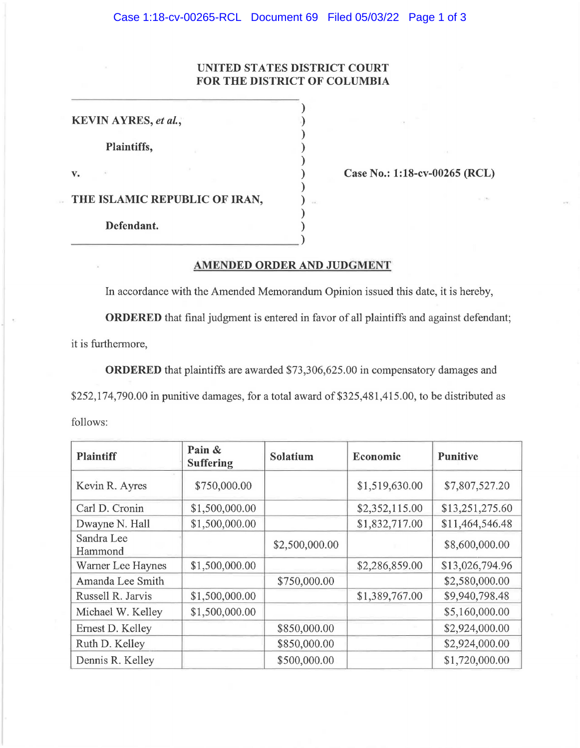## **UNITED STATES DISTRICT COURT FOR THE DISTRICT OF COLUMBIA**

**KEVIN AYRES,** *et al.,*  **Plaintiffs, v.**  ) ) ) ) ) ) ) ) ) ) **THE ISLAMIC REPUBLIC OF IRAN, Defendant.** \_\_\_\_\_\_\_\_\_\_\_\_\_\_\_\_ )

**Case No.: 1:18-cv-00265 (RCL)** 

## **AMENDED ORDER AND JUDGMENT**

In accordance with the Amended Memorandum Opinion issued this date, it is hereby,

**ORDERED** that final judgment is entered in favor of all plaintiffs and against defendant;

it is furthermore,

**ORDERED** that plaintiffs are awarded \$73,306,625.00 in compensatory damages and

\$252,174,790.00 in punitive damages, for a total award of \$325,481,415.00, to be distributed as

follows:

| <b>Plaintiff</b>      | Pain &<br><b>Suffering</b> | Solatium       | Economic       | <b>Punitive</b> |
|-----------------------|----------------------------|----------------|----------------|-----------------|
| Kevin R. Ayres        | \$750,000.00               |                | \$1,519,630.00 | \$7,807,527.20  |
| Carl D. Cronin        | \$1,500,000.00             |                | \$2,352,115.00 | \$13,251,275.60 |
| Dwayne N. Hall        | \$1,500,000.00             |                | \$1,832,717.00 | \$11,464,546.48 |
| Sandra Lee<br>Hammond |                            | \$2,500,000.00 |                | \$8,600,000.00  |
| Warner Lee Haynes     | \$1,500,000.00             |                | \$2,286,859.00 | \$13,026,794.96 |
| Amanda Lee Smith      |                            | \$750,000.00   |                | \$2,580,000.00  |
| Russell R. Jarvis     | \$1,500,000.00             |                | \$1,389,767.00 | \$9,940,798.48  |
| Michael W. Kelley     | \$1,500,000.00             |                |                | \$5,160,000.00  |
| Ernest D. Kelley      |                            | \$850,000.00   |                | \$2,924,000.00  |
| Ruth D. Kelley        |                            | \$850,000.00   |                | \$2,924,000.00  |
| Dennis R. Kelley      |                            | \$500,000.00   |                | \$1,720,000.00  |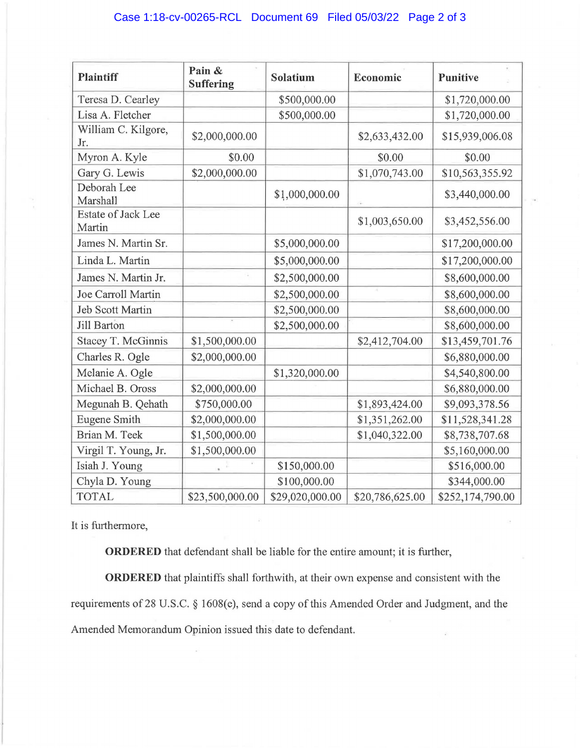| <b>Plaintiff</b>                    | Pain &<br><b>Suffering</b> | Solatium        | Economic        | <b>Punitive</b>  |
|-------------------------------------|----------------------------|-----------------|-----------------|------------------|
| Teresa D. Cearley                   |                            | \$500,000.00    |                 | \$1,720,000.00   |
| Lisa A. Fletcher                    |                            | \$500,000.00    |                 | \$1,720,000.00   |
| William C. Kilgore,<br>Jr.          | \$2,000,000.00             |                 | \$2,633,432.00  | \$15,939,006.08  |
| Myron A. Kyle                       | \$0.00                     |                 | \$0.00          | \$0.00           |
| Gary G. Lewis                       | \$2,000,000.00             |                 | \$1,070,743.00  | \$10,563,355.92  |
| Deborah Lee<br>Marshall             |                            | \$1,000,000.00  |                 | \$3,440,000.00   |
| <b>Estate of Jack Lee</b><br>Martin |                            |                 | \$1,003,650.00  | \$3,452,556.00   |
| James N. Martin Sr.                 |                            | \$5,000,000.00  |                 | \$17,200,000.00  |
| Linda L. Martin                     |                            | \$5,000,000.00  |                 | \$17,200,000.00  |
| James N. Martin Jr.                 |                            | \$2,500,000.00  |                 | \$8,600,000.00   |
| Joe Carroll Martin                  |                            | \$2,500,000.00  |                 | \$8,600,000.00   |
| <b>Jeb Scott Martin</b>             |                            | \$2,500,000.00  |                 | \$8,600,000.00   |
| <b>Jill Barton</b>                  |                            | \$2,500,000.00  |                 | \$8,600,000.00   |
| Stacey T. McGinnis                  | \$1,500,000.00             |                 | \$2,412,704.00  | \$13,459,701.76  |
| Charles R. Ogle                     | \$2,000,000.00             |                 |                 | \$6,880,000.00   |
| Melanie A. Ogle                     |                            | \$1,320,000.00  |                 | \$4,540,800.00   |
| Michael B. Oross                    | \$2,000,000.00             |                 |                 | \$6,880,000.00   |
| Megunah B. Qehath                   | \$750,000.00               |                 | \$1,893,424.00  | \$9,093,378.56   |
| <b>Eugene Smith</b>                 | \$2,000,000.00             |                 | \$1,351,262.00  | \$11,528,341.28  |
| Brian M. Teek                       | \$1,500,000.00             |                 | \$1,040,322.00  | \$8,738,707.68   |
| Virgil T. Young, Jr.                | \$1,500,000.00             |                 |                 | \$5,160,000.00   |
| Isiah J. Young                      |                            | \$150,000.00    |                 | \$516,000.00     |
| Chyla D. Young                      |                            | \$100,000.00    |                 | \$344,000.00     |
| <b>TOTAL</b>                        | \$23,500,000.00            | \$29,020,000.00 | \$20,786,625.00 | \$252,174,790.00 |

It is furthermore,

**ORDERED** that defendant shall be liable for the entire amount; it is further,

**ORDERED** that plaintiffs shall forthwith, at their own expense and consistent with the requirements of 28 U.S.C. § 1608(e), send a copy of this Amended Order and Judgment, and the Amended Memorandum Opinion issued this date to defendant.